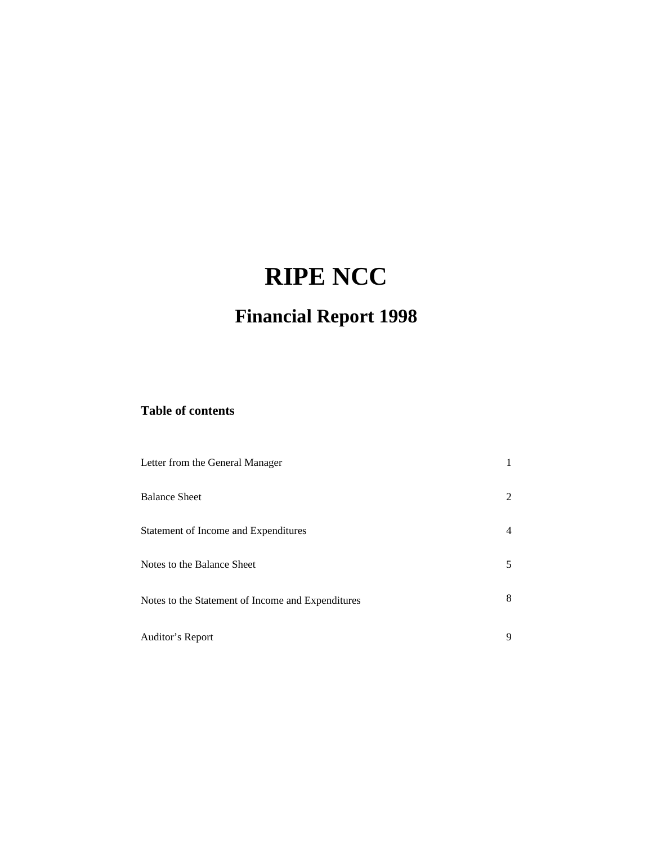# **RIPE NCC**

# **Financial Report 1998**

### **Table of contents**

| Letter from the General Manager                   |    |
|---------------------------------------------------|----|
| <b>Balance Sheet</b>                              | 2  |
| Statement of Income and Expenditures              | 4  |
| Notes to the Balance Sheet                        | 5. |
| Notes to the Statement of Income and Expenditures | 8  |
| Auditor's Report                                  | 9  |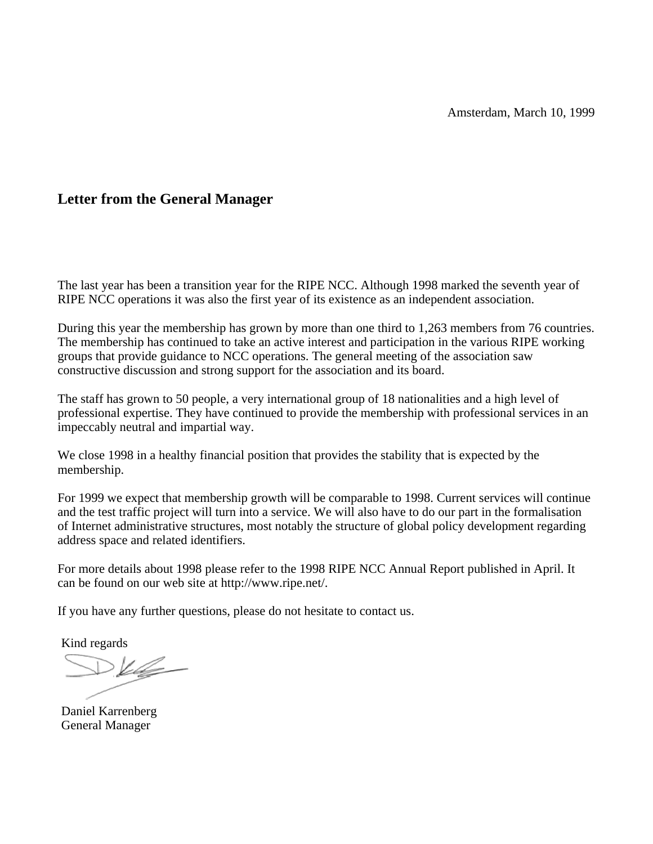#### **Letter from the General Manager**

The last year has been a transition year for the RIPE NCC. Although 1998 marked the seventh year of RIPE NCC operations it was also the first year of its existence as an independent association.

During this year the membership has grown by more than one third to 1,263 members from 76 countries. The membership has continued to take an active interest and participation in the various RIPE working groups that provide guidance to NCC operations. The general meeting of the association saw constructive discussion and strong support for the association and its board.

The staff has grown to 50 people, a very international group of 18 nationalities and a high level of professional expertise. They have continued to provide the membership with professional services in an impeccably neutral and impartial way.

We close 1998 in a healthy financial position that provides the stability that is expected by the membership.

For 1999 we expect that membership growth will be comparable to 1998. Current services will continue and the test traffic project will turn into a service. We will also have to do our part in the formalisation of Internet administrative structures, most notably the structure of global policy development regarding address space and related identifiers.

For more details about 1998 please refer to the 1998 RIPE NCC Annual Report published in April. It can be found on our web site at http://www.ripe.net/.

If you have any further questions, please do not hesitate to contact us.

Kind regards

 $>V$ 

Daniel Karrenberg General Manager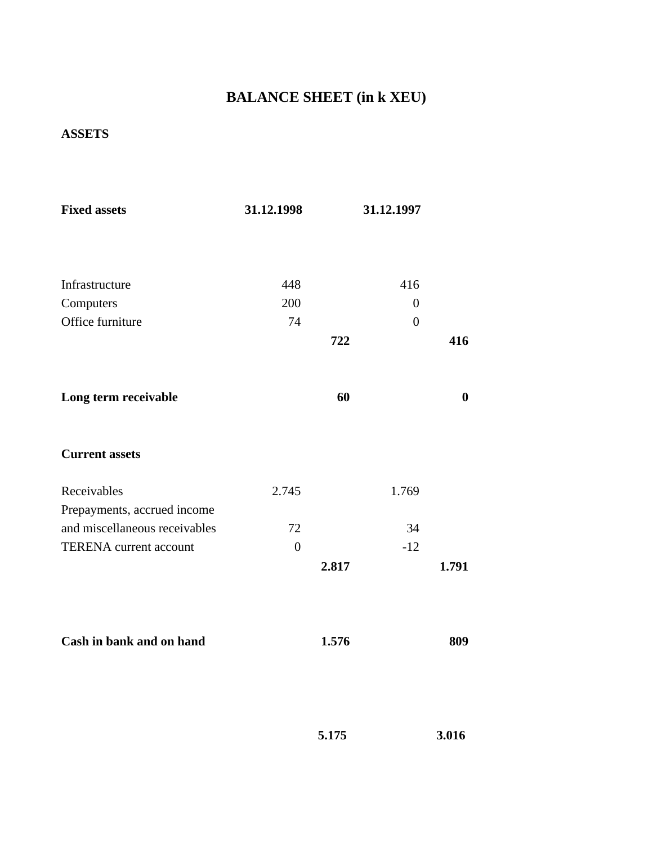## **BALANCE SHEET (in k XEU)**

### **ASSETS**

| <b>Fixed assets</b>           | 31.12.1998       |       | 31.12.1997       |          |
|-------------------------------|------------------|-------|------------------|----------|
|                               |                  |       |                  |          |
| Infrastructure                | 448              |       | 416              |          |
| Computers                     | 200              |       | $\boldsymbol{0}$ |          |
| Office furniture              | 74               |       | $\overline{0}$   |          |
|                               |                  | 722   |                  | 416      |
| Long term receivable          |                  | 60    |                  | $\bf{0}$ |
| <b>Current assets</b>         |                  |       |                  |          |
| Receivables                   | 2.745            |       | 1.769            |          |
| Prepayments, accrued income   |                  |       |                  |          |
| and miscellaneous receivables | 72               |       | 34               |          |
| <b>TERENA</b> current account | $\boldsymbol{0}$ |       | $-12$            |          |
|                               |                  | 2.817 |                  | 1.791    |
| Cash in bank and on hand      |                  | 1.576 |                  | 809      |
|                               |                  |       |                  |          |

| 5.175 | 3.016 |
|-------|-------|
|       |       |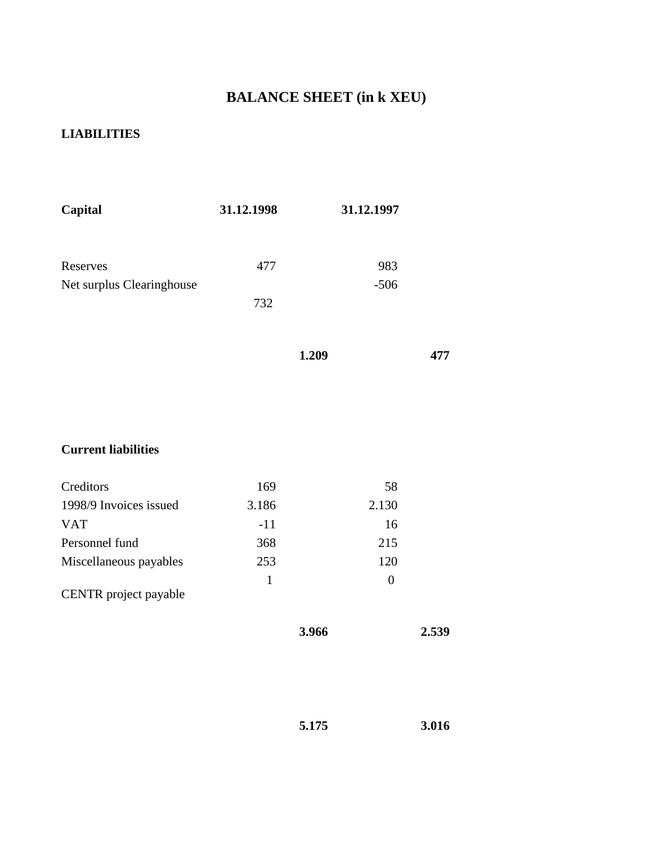## **BALANCE SHEET (in k XEU)**

#### **LIABILITIES**

| Capital                   | 31.12.1998 | 31.12.1997 |
|---------------------------|------------|------------|
|                           |            |            |
| Reserves                  | 477        | 983        |
| Net surplus Clearinghouse |            | $-506$     |
|                           | 732        |            |
|                           |            |            |
|                           |            |            |

```
 1.209 477
```
### **Current liabilities**

| Creditors              | 169   | 58       |
|------------------------|-------|----------|
| 1998/9 Invoices issued | 3.186 | 2.130    |
| <b>VAT</b>             | $-11$ | 16       |
| Personnel fund         | 368   | 215      |
| Miscellaneous payables | 253   | 120      |
| CENTR project payable  | 1     | $\theta$ |

| 3.966 | 2.539 |
|-------|-------|
|       |       |

$$
5.175 \qquad \qquad 3.016
$$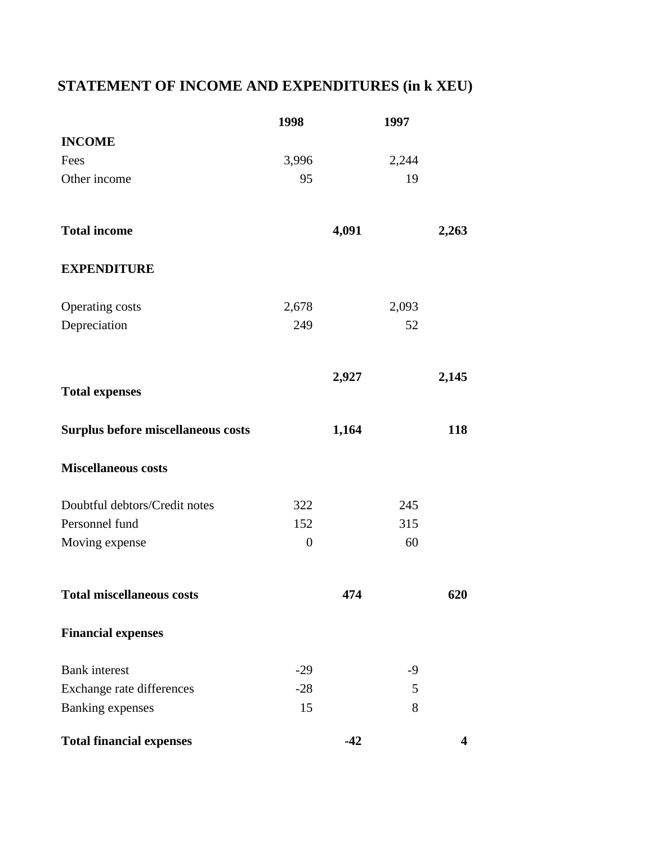## **STATEMENT OF INCOME AND EXPENDITURES (in k XEU)**

|                                    | 1998             |       | 1997  |                         |
|------------------------------------|------------------|-------|-------|-------------------------|
| <b>INCOME</b>                      |                  |       |       |                         |
| Fees                               | 3,996            |       | 2,244 |                         |
| Other income                       | 95               |       | 19    |                         |
| <b>Total income</b>                |                  | 4,091 |       | 2,263                   |
| <b>EXPENDITURE</b>                 |                  |       |       |                         |
| Operating costs                    | 2,678            |       | 2,093 |                         |
| Depreciation                       | 249              |       | 52    |                         |
|                                    |                  | 2,927 |       | 2,145                   |
| <b>Total expenses</b>              |                  |       |       |                         |
| Surplus before miscellaneous costs |                  | 1,164 |       | 118                     |
| <b>Miscellaneous costs</b>         |                  |       |       |                         |
| Doubtful debtors/Credit notes      | 322              |       | 245   |                         |
| Personnel fund                     | 152              |       | 315   |                         |
| Moving expense                     | $\boldsymbol{0}$ |       | 60    |                         |
| <b>Total miscellaneous costs</b>   |                  | 474   |       | 620                     |
| <b>Financial expenses</b>          |                  |       |       |                         |
| <b>Bank</b> interest               | $-29$            |       | $-9$  |                         |
| Exchange rate differences          | $-28$            |       | 5     |                         |
| <b>Banking expenses</b>            | 15               |       | 8     |                         |
| <b>Total financial expenses</b>    |                  | $-42$ |       | $\overline{\mathbf{4}}$ |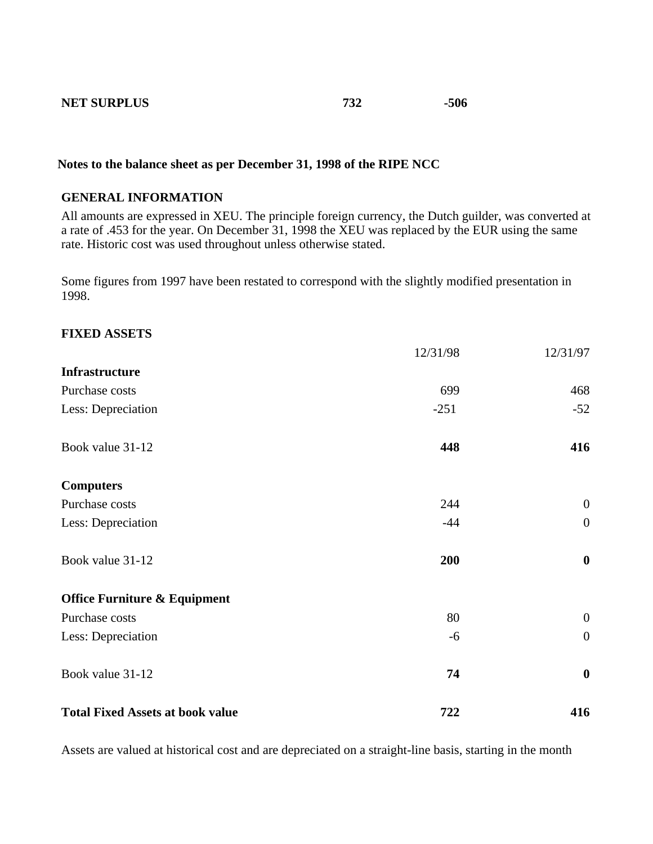#### **NET SURPLUS 732** -506

#### **Notes to the balance sheet as per December 31, 1998 of the RIPE NCC**

#### **GENERAL INFORMATION**

All amounts are expressed in XEU. The principle foreign currency, the Dutch guilder, was converted at a rate of .453 for the year. On December 31, 1998 the XEU was replaced by the EUR using the same rate. Historic cost was used throughout unless otherwise stated.

Some figures from 1997 have been restated to correspond with the slightly modified presentation in 1998.

#### **FIXED ASSETS**

|                                         | 12/31/98 | 12/31/97         |
|-----------------------------------------|----------|------------------|
| Infrastructure                          |          |                  |
| Purchase costs                          | 699      | 468              |
| Less: Depreciation                      | $-251$   | $-52$            |
| Book value 31-12                        | 448      | 416              |
| <b>Computers</b>                        |          |                  |
| Purchase costs                          | 244      | $\overline{0}$   |
| Less: Depreciation                      | $-44$    | $\mathbf{0}$     |
| Book value 31-12                        | 200      | $\boldsymbol{0}$ |
| <b>Office Furniture &amp; Equipment</b> |          |                  |
| Purchase costs                          | 80       | $\overline{0}$   |
| Less: Depreciation                      | $-6$     | $\overline{0}$   |
| Book value 31-12                        | 74       | $\bf{0}$         |
| <b>Total Fixed Assets at book value</b> | 722      | 416              |

Assets are valued at historical cost and are depreciated on a straight-line basis, starting in the month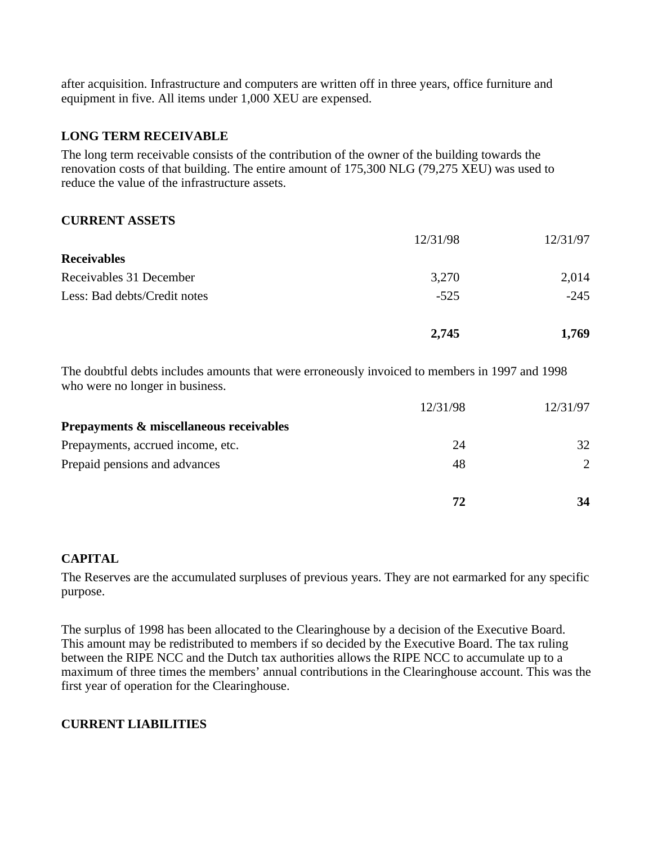after acquisition. Infrastructure and computers are written off in three years, office furniture and equipment in five. All items under 1,000 XEU are expensed.

#### **LONG TERM RECEIVABLE**

The long term receivable consists of the contribution of the owner of the building towards the renovation costs of that building. The entire amount of 175,300 NLG (79,275 XEU) was used to reduce the value of the infrastructure assets.

#### **CURRENT ASSETS**

|                              | 2,745    | 1,769    |
|------------------------------|----------|----------|
| Less: Bad debts/Credit notes | $-525$   | $-245$   |
| Receivables 31 December      | 3,270    | 2,014    |
| <b>Receivables</b>           |          |          |
|                              | 12/31/98 | 12/31/97 |

The doubtful debts includes amounts that were erroneously invoiced to members in 1997 and 1998 who were no longer in business.

|                                         | 12/31/98 | 12/31/97                    |
|-----------------------------------------|----------|-----------------------------|
| Prepayments & miscellaneous receivables |          |                             |
| Prepayments, accrued income, etc.       | 24       | 32                          |
| Prepaid pensions and advances           | 48       | $\mathcal{D}_{\mathcal{L}}$ |
|                                         | 72       | 34                          |

#### **CAPITAL**

The Reserves are the accumulated surpluses of previous years. They are not earmarked for any specific purpose.

The surplus of 1998 has been allocated to the Clearinghouse by a decision of the Executive Board. This amount may be redistributed to members if so decided by the Executive Board. The tax ruling between the RIPE NCC and the Dutch tax authorities allows the RIPE NCC to accumulate up to a maximum of three times the members' annual contributions in the Clearinghouse account. This was the first year of operation for the Clearinghouse.

#### **CURRENT LIABILITIES**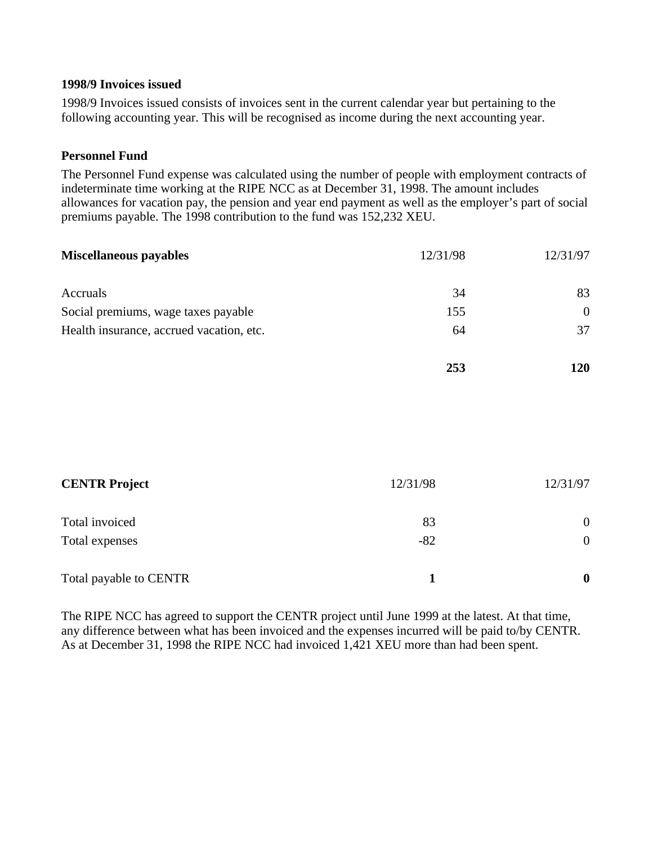#### **1998/9 Invoices issued**

1998/9 Invoices issued consists of invoices sent in the current calendar year but pertaining to the following accounting year. This will be recognised as income during the next accounting year.

#### **Personnel Fund**

The Personnel Fund expense was calculated using the number of people with employment contracts of indeterminate time working at the RIPE NCC as at December 31, 1998. The amount includes allowances for vacation pay, the pension and year end payment as well as the employer's part of social premiums payable. The 1998 contribution to the fund was 152,232 XEU.

| <b>Miscellaneous payables</b>            | 12/31/98 | 12/31/97       |
|------------------------------------------|----------|----------------|
| Accruals                                 | 34       | 83             |
| Social premiums, wage taxes payable      | 155      | $\overline{0}$ |
| Health insurance, accrued vacation, etc. | 64       | 37             |
|                                          | 253      | 120            |
|                                          |          |                |
| <b>CENTR Project</b>                     | 12/31/98 | 12/31/97       |
| Total invoiced                           | 83       | $\overline{0}$ |

| Total payable to CENTR |  |
|------------------------|--|

Total expenses 0

The RIPE NCC has agreed to support the CENTR project until June 1999 at the latest. At that time, any difference between what has been invoiced and the expenses incurred will be paid to/by CENTR. As at December 31, 1998 the RIPE NCC had invoiced 1,421 XEU more than had been spent.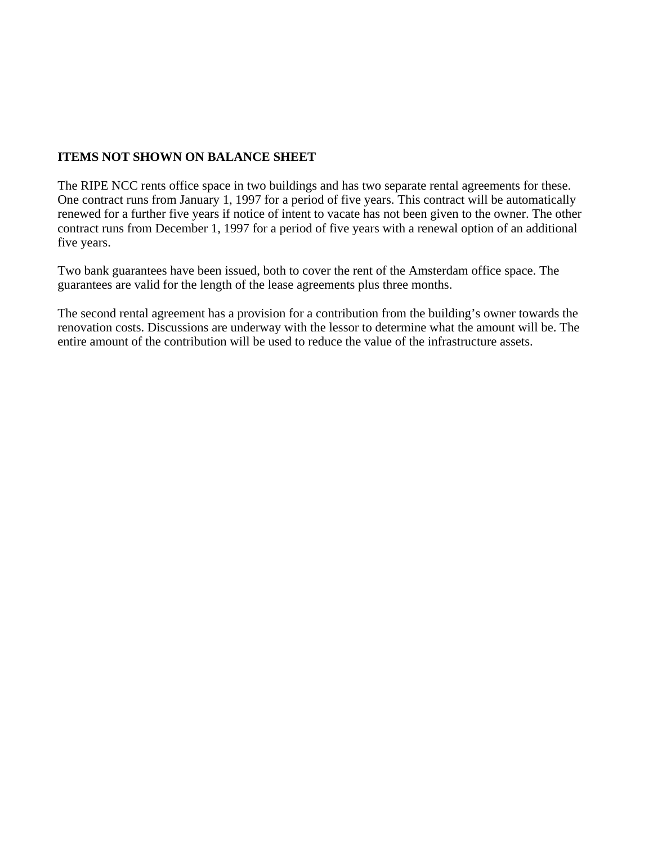#### **ITEMS NOT SHOWN ON BALANCE SHEET**

The RIPE NCC rents office space in two buildings and has two separate rental agreements for these. One contract runs from January 1, 1997 for a period of five years. This contract will be automatically renewed for a further five years if notice of intent to vacate has not been given to the owner. The other contract runs from December 1, 1997 for a period of five years with a renewal option of an additional five years.

Two bank guarantees have been issued, both to cover the rent of the Amsterdam office space. The guarantees are valid for the length of the lease agreements plus three months.

The second rental agreement has a provision for a contribution from the building's owner towards the renovation costs. Discussions are underway with the lessor to determine what the amount will be. The entire amount of the contribution will be used to reduce the value of the infrastructure assets.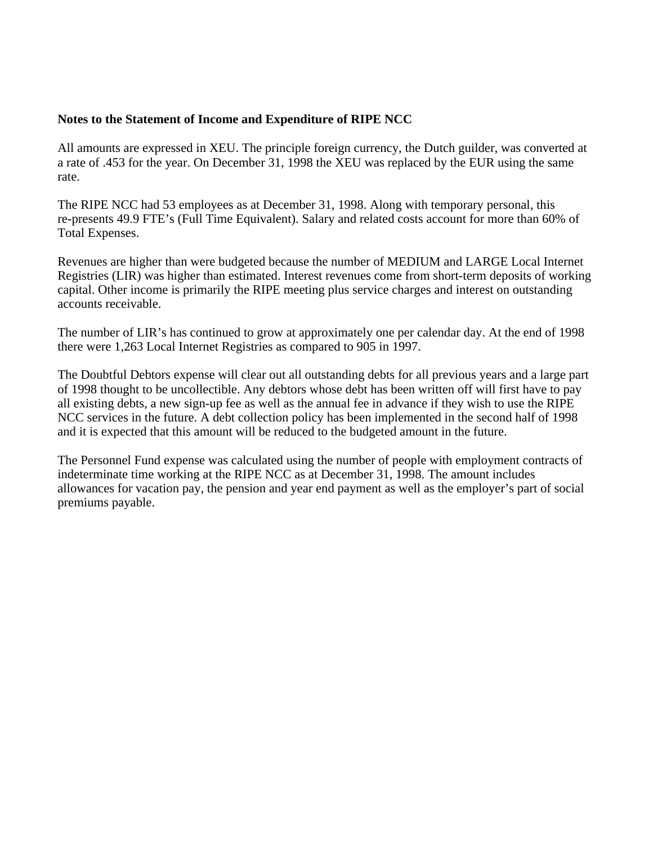#### **Notes to the Statement of Income and Expenditure of RIPE NCC**

All amounts are expressed in XEU. The principle foreign currency, the Dutch guilder, was converted at a rate of .453 for the year. On December 31, 1998 the XEU was replaced by the EUR using the same rate.

The RIPE NCC had 53 employees as at December 31, 1998. Along with temporary personal, this re-presents 49.9 FTE's (Full Time Equivalent). Salary and related costs account for more than 60% of Total Expenses.

Revenues are higher than were budgeted because the number of MEDIUM and LARGE Local Internet Registries (LIR) was higher than estimated. Interest revenues come from short-term deposits of working capital. Other income is primarily the RIPE meeting plus service charges and interest on outstanding accounts receivable.

The number of LIR's has continued to grow at approximately one per calendar day. At the end of 1998 there were 1,263 Local Internet Registries as compared to 905 in 1997.

The Doubtful Debtors expense will clear out all outstanding debts for all previous years and a large part of 1998 thought to be uncollectible. Any debtors whose debt has been written off will first have to pay all existing debts, a new sign-up fee as well as the annual fee in advance if they wish to use the RIPE NCC services in the future. A debt collection policy has been implemented in the second half of 1998 and it is expected that this amount will be reduced to the budgeted amount in the future.

The Personnel Fund expense was calculated using the number of people with employment contracts of indeterminate time working at the RIPE NCC as at December 31, 1998. The amount includes allowances for vacation pay, the pension and year end payment as well as the employer's part of social premiums payable.